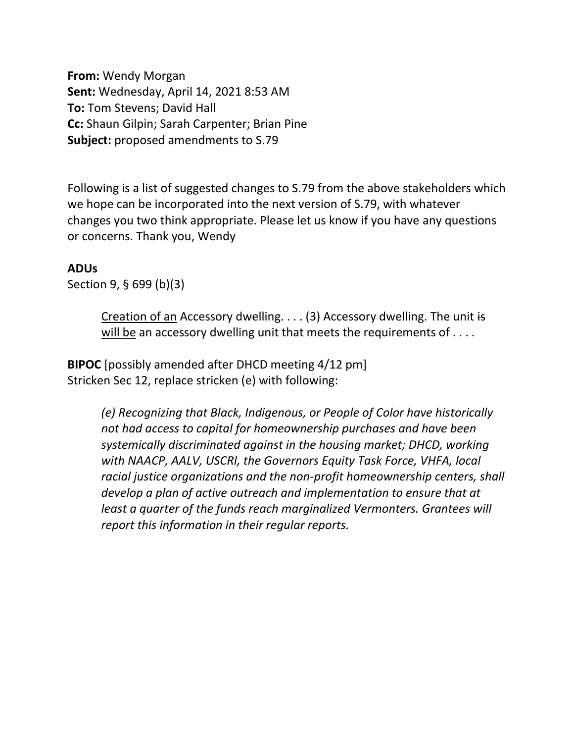**From:** Wendy Morgan **Sent:** Wednesday, April 14, 2021 8:53 AM **To:** Tom Stevens; David Hall **Cc:** Shaun Gilpin; Sarah Carpenter; Brian Pine **Subject:** proposed amendments to S.79

Following is a list of suggested changes to S.79 from the above stakeholders which we hope can be incorporated into the next version of S.79, with whatever changes you two think appropriate. Please let us know if you have any questions or concerns. Thank you, Wendy

## **ADUs**

Section 9, § 699 (b)(3)

Creation of an Accessory dwelling. . . . (3) Accessory dwelling. The unit is will be an accessory dwelling unit that meets the requirements of . . . .

**BIPOC** [possibly amended after DHCD meeting 4/12 pm] Stricken Sec 12, replace stricken (e) with following:

> *(e) Recognizing that Black, Indigenous, or People of Color have historically not had access to capital for homeownership purchases and have been systemically discriminated against in the housing market; DHCD, working with NAACP, AALV, USCRI, the Governors Equity Task Force, VHFA, local racial justice organizations and the non-profit homeownership centers, shall develop a plan of active outreach and implementation to ensure that at least a quarter of the funds reach marginalized Vermonters. Grantees will report this information in their regular reports.*